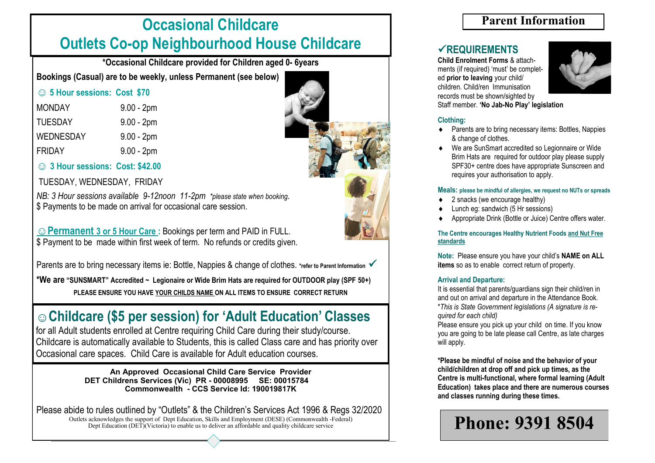# **Occasional Childcare Outlets Co-op Neighbourhood House Childcare**

**\*Occasional Childcare provided for Children aged 0- 6years**

**Bookings (Casual) are to be weekly, unless Permanent (see below)**

|  |  | <b> <b> 3 5 Hour sessions: Cost \$70</b></b> |  |  |
|--|--|----------------------------------------------|--|--|
|--|--|----------------------------------------------|--|--|

| <b>MONDAY</b>    | $9.00 - 2pm$ |
|------------------|--------------|
| <b>TUESDAY</b>   | $9.00 - 2pm$ |
| <b>WEDNESDAY</b> | $9.00 - 2pm$ |
| <b>FRIDAY</b>    | $9.00 - 2pm$ |

**☺ 3 Hour sessions: Cost: \$42.00**

TUESDAY, WEDNESDAY, FRIDAY

*NB: 3 Hour sessions available 9-12noon 11-2pm \*please state when booking.* \$ Payments to be made on arrival for occasional care session.

**☺Permanent 3 or 5 Hour Care :** Bookings per term and PAID in FULL. \$ Payment to be made within first week of term. No refunds or credits given.

Parents are to bring necessary items ie: Bottle, Nappies & change of clothes. *\*refer to Parent Information* <del>✓</del>

**\*We are "SUNSMART" Accredited ~ Legionaire or Wide Brim Hats are required for OUTDOOR play (SPF 50+) PLEASE ENSURE YOU HAVE YOUR CHILDS NAME ON ALL ITEMS TO ENSURE CORRECT RETURN**

# **☺Childcare (\$5 per session) for 'Adult Education' Classes**

for all Adult students enrolled at Centre requiring Child Care during their study/course. Childcare is automatically available to Students, this is called Class care and has priority over Occasional care spaces. Child Care is available for Adult education courses.

> **An Approved Occasional Child Care Service Provider DET Childrens Services (Vic) PR - 00008995 SE: 00015784 Commonwealth - CCS Service Id: 190019817K**

Please abide to rules outlined by "Outlets" & the Children's Services Act 1996 & Regs 32/2020 Outlets acknowledges the support of Dept Education, Skills and Employment (DESE) (Commonwealth -Federal) Dept Education (DET)(Victoria) to enable us to deliver an affordable and quality childcare service

### **Parent Information**

### ✓**REQUIREMENTS**

**Child Enrolment Forms** & attachments (if required) 'must' be completed **prior to leaving** your child/ children. Child/ren Immunisation records must be shown/sighted by Staff member. **'No Jab-No Play' legislation** 



#### **Clothing:**

- Parents are to bring necessary items: Bottles, Nappies & change of clothes.
- We are SunSmart accredited so Legionnaire or Wide Brim Hats are required for outdoor play please supply SPF30+ centre does have appropriate Sunscreen and requires your authorisation to apply.

#### **Meals: please be mindful of allergies, we request no NUTs or spreads**

- 2 snacks (we encourage healthy)
- Lunch eg: sandwich (5 Hr sessions)
- Appropriate Drink (Bottle or Juice) Centre offers water.

#### **The Centre encourages Healthy Nutrient Foods and Nut Free standards**

**Note:** Please ensure you have your child's **NAME on ALL items** so as to enable correct return of property.

#### **Arrival and Departure:**

It is essential that parents/guardians sign their child/ren in and out on arrival and departure in the Attendance Book. \**This is State Government legislations (A signature is required for each child)*

Please ensure you pick up your child on time. If you know you are going to be late please call Centre, as late charges will apply.

**\*Please be mindful of noise and the behavior of your child/children at drop off and pick up times, as the Centre is multi-functional, where formal learning (Adult Education) takes place and there are numerous courses and classes running during these times.**